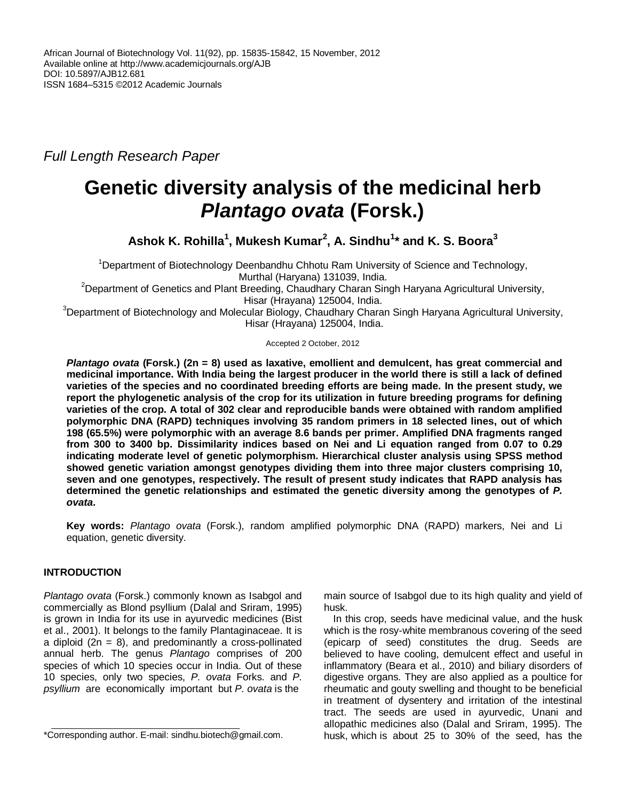*Full Length Research Paper*

# **Genetic diversity analysis of the medicinal herb** *Plantago ovata* **(Forsk.)**

**Ashok K. Rohilla<sup>1</sup> , Mukesh Kumar<sup>2</sup> , A. Sindhu<sup>1</sup> \* and K. S. Boora<sup>3</sup>**

<sup>1</sup>Department of Biotechnology Deenbandhu Chhotu Ram University of Science and Technology, Murthal (Haryana) 131039, India.

<sup>2</sup>Department of Genetics and Plant Breeding, Chaudhary Charan Singh Haryana Agricultural University, Hisar (Hrayana) 125004, India.

<sup>3</sup>Department of Biotechnology and Molecular Biology, Chaudhary Charan Singh Haryana Agricultural University, Hisar (Hrayana) 125004, India.

Accepted 2 October, 2012

*Plantago ovata* **(Forsk.) (2n = 8) used as laxative, emollient and demulcent, has great commercial and medicinal importance. With India being the largest producer in the world there is still a lack of defined varieties of the species and no coordinated breeding efforts are being made. In the present study, we report the phylogenetic analysis of the crop for its utilization in future breeding programs for defining varieties of the crop. A total of 302 clear and reproducible bands were obtained with random amplified polymorphic DNA (RAPD) techniques involving 35 random primers in 18 selected lines, out of which 198 (65.5%) were polymorphic with an average 8.6 bands per primer. Amplified DNA fragments ranged from 300 to 3400 bp. Dissimilarity indices based on Nei and Li equation ranged from 0.07 to 0.29 indicating moderate level of genetic polymorphism. Hierarchical cluster analysis using SPSS method showed genetic variation amongst genotypes dividing them into three major clusters comprising 10, seven and one genotypes, respectively. The result of present study indicates that RAPD analysis has determined the genetic relationships and estimated the genetic diversity among the genotypes of** *P. ovata***.** 

**Key words:** *Plantago ovata* (Forsk.), random amplified polymorphic DNA (RAPD) markers, Nei and Li equation, genetic diversity.

# **INTRODUCTION**

*Plantago ovata* (Forsk.) commonly known as Isabgol and commercially as Blond psyllium (Dalal and Sriram, 1995) is grown in India for its use in ayurvedic medicines (Bist et al., 2001). It belongs to the family Plantaginaceae. It is a diploid  $(2n = 8)$ , and predominantly a cross-pollinated annual herb. The genus *Plantago* comprises of 200 species of which 10 species occur in India. Out of these 10 species, only two species, *P. ovata* Forks. and *P. psyllium* are economically important but *P. ovata* is the

main source of Isabgol due to its high quality and yield of husk.

In this crop, seeds have medicinal value, and the husk which is the rosy-white membranous covering of the seed (epicarp of seed) constitutes the drug. Seeds are believed to have cooling, demulcent effect and useful in inflammatory (Beara et al., 2010) and biliary disorders of digestive organs. They are also applied as a poultice for rheumatic and gouty swelling and thought to be beneficial in treatment of dysentery and irritation of the intestinal tract. The seeds are used in ayurvedic, Unani and allopathic medicines also (Dalal and Sriram, 1995). The husk, which is about 25 to 30% of the seed, has the

<sup>\*</sup>Corresponding author. E-mail: sindhu.biotech@gmail.com.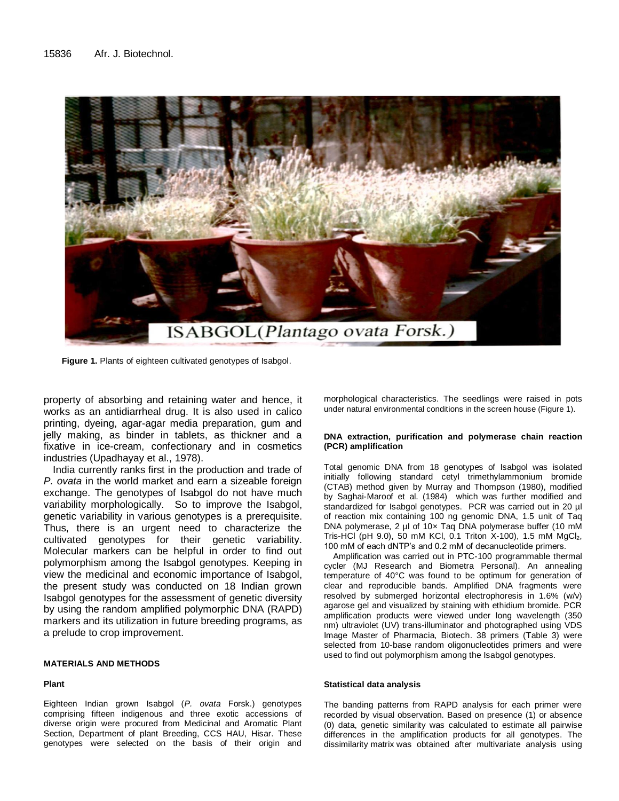

**Figure 1.** Plants of eighteen cultivated genotypes of Isabgol.

property of absorbing and retaining water and hence, it works as an antidiarrheal drug. It is also used in calico printing, dyeing, agar-agar media preparation, gum and jelly making, as binder in tablets, as thickner and a fixative in ice-cream, confectionary and in cosmetics industries (Upadhayay et al., 1978).

India currently ranks first in the production and trade of *P. ovata* in the world market and earn a sizeable foreign exchange. The genotypes of Isabgol do not have much variability morphologically. So to improve the Isabgol, genetic variability in various genotypes is a prerequisite. Thus, there is an urgent need to characterize the cultivated genotypes for their genetic variability. Molecular markers can be helpful in order to find out polymorphism among the Isabgol genotypes. Keeping in view the medicinal and economic importance of Isabgol, the present study was conducted on 18 Indian grown Isabgol genotypes for the assessment of genetic diversity by using the random amplified polymorphic DNA (RAPD) markers and its utilization in future breeding programs, as a prelude to crop improvement.

#### **MATERIALS AND METHODS**

## **Plant**

Eighteen Indian grown Isabgol (*P. ovata* Forsk.) genotypes comprising fifteen indigenous and three exotic accessions of diverse origin were procured from Medicinal and Aromatic Plant Section, Department of plant Breeding, CCS HAU, Hisar. These genotypes were selected on the basis of their origin and morphological characteristics. The seedlings were raised in pots under natural environmental conditions in the screen house (Figure 1).

#### **DNA extraction, purification and polymerase chain reaction (PCR) amplification**

Total genomic DNA from 18 genotypes of Isabgol was isolated initially following standard cetyl trimethylammonium bromide (CTAB) method given by Murray and Thompson (1980), modified by Saghai-Maroof et al. (1984) which was further modified and standardized for Isabgol genotypes. PCR was carried out in 20 µl of reaction mix containing 100 ng genomic DNA, 1.5 unit of Taq DNA polymerase, 2 µl of 10x Taq DNA polymerase buffer (10 mM Tris-HCl (pH 9.0), 50 mM KCl, 0.1 Triton X-100), 1.5 mM  $MgCl<sub>2</sub>$ , 100 mM of each dNTP's and 0.2 mM of decanucleotide primers.

Amplification was carried out in PTC-100 programmable thermal cycler (MJ Research and Biometra Personal). An annealing temperature of 40°C was found to be optimum for generation of clear and reproducible bands. Amplified DNA fragments were resolved by submerged horizontal electrophoresis in 1.6% (w/v) agarose gel and visualized by staining with ethidium bromide. PCR amplification products were viewed under long wavelength (350 nm) ultraviolet (UV) trans-illuminator and photographed using VDS Image Master of Pharmacia, Biotech. 38 primers (Table 3) were selected from 10-base random oligonucleotides primers and were used to find out polymorphism among the Isabgol genotypes.

### **Statistical data analysis**

The banding patterns from RAPD analysis for each primer were recorded by visual observation. Based on presence (1) or absence (0) data, genetic similarity was calculated to estimate all pairwise differences in the amplification products for all genotypes. The dissimilarity matrix was obtained after multivariate analysis using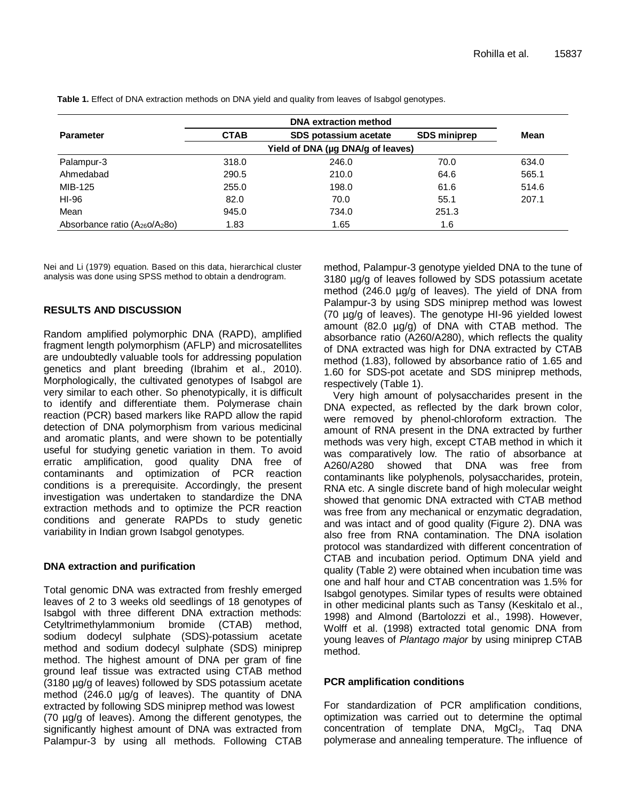|                                    | <b>DNA extraction method</b>      |                       |                     |       |  |  |  |
|------------------------------------|-----------------------------------|-----------------------|---------------------|-------|--|--|--|
| <b>Parameter</b>                   | <b>CTAB</b>                       | SDS potassium acetate | <b>SDS miniprep</b> | Mean  |  |  |  |
|                                    | Yield of DNA (µg DNA/g of leaves) |                       |                     |       |  |  |  |
| Palampur-3                         | 318.0                             | 246.0                 | 70.0                | 634.0 |  |  |  |
| Ahmedabad                          | 290.5                             | 210.0                 | 64.6                | 565.1 |  |  |  |
| MIB-125                            | 255.0                             | 198.0                 | 61.6                | 514.6 |  |  |  |
| HI-96                              | 82.0                              | 70.0                  | 55.1                | 207.1 |  |  |  |
| Mean                               | 945.0                             | 734.0                 | 251.3               |       |  |  |  |
| Absorbance ratio $(A_{26}O/A_28O)$ | 1.83                              | 1.65                  | 1.6                 |       |  |  |  |

**Table 1.** Effect of DNA extraction methods on DNA yield and quality from leaves of Isabgol genotypes.

Nei and Li (1979) equation. Based on this data, hierarchical cluster analysis was done using SPSS method to obtain a dendrogram.

# **RESULTS AND DISCUSSION**

Random amplified polymorphic DNA (RAPD), amplified fragment length polymorphism (AFLP) and microsatellites are undoubtedly valuable tools for addressing population genetics and plant breeding (Ibrahim et al., 2010). Morphologically, the cultivated genotypes of Isabgol are very similar to each other. So phenotypically, it is difficult to identify and differentiate them. Polymerase chain reaction (PCR) based markers like RAPD allow the rapid detection of DNA polymorphism from various medicinal and aromatic plants, and were shown to be potentially useful for studying genetic variation in them. To avoid erratic amplification, good quality DNA free of contaminants and optimization of PCR reaction conditions is a prerequisite. Accordingly, the present investigation was undertaken to standardize the DNA extraction methods and to optimize the PCR reaction conditions and generate RAPDs to study genetic variability in Indian grown Isabgol genotypes.

# **DNA extraction and purification**

Total genomic DNA was extracted from freshly emerged leaves of 2 to 3 weeks old seedlings of 18 genotypes of Isabgol with three different DNA extraction methods: Cetyltrimethylammonium bromide (CTAB) method, sodium dodecyl sulphate (SDS)-potassium acetate method and sodium dodecyl sulphate (SDS) miniprep method. The highest amount of DNA per gram of fine ground leaf tissue was extracted using CTAB method (3180 µg/g of leaves) followed by SDS potassium acetate method (246.0 µg/g of leaves). The quantity of DNA extracted by following SDS miniprep method was lowest (70 µg/g of leaves). Among the different genotypes, the significantly highest amount of DNA was extracted from Palampur-3 by using all methods. Following CTAB method, Palampur-3 genotype yielded DNA to the tune of 3180 µg/g of leaves followed by SDS potassium acetate method (246.0 µg/g of leaves). The yield of DNA from Palampur-3 by using SDS miniprep method was lowest (70 µg/g of leaves). The genotype HI-96 yielded lowest amount (82.0 µg/g) of DNA with CTAB method. The absorbance ratio (A260/A280), which reflects the quality of DNA extracted was high for DNA extracted by CTAB method (1.83), followed by absorbance ratio of 1.65 and 1.60 for SDS-pot acetate and SDS miniprep methods, respectively (Table 1).

Very high amount of polysaccharides present in the DNA expected, as reflected by the dark brown color, were removed by phenol-chloroform extraction. The amount of RNA present in the DNA extracted by further methods was very high, except CTAB method in which it was comparatively low. The ratio of absorbance at A260/A280 showed that DNA was free from contaminants like polyphenols, polysaccharides, protein, RNA etc. A single discrete band of high molecular weight showed that genomic DNA extracted with CTAB method was free from any mechanical or enzymatic degradation, and was intact and of good quality (Figure 2). DNA was also free from RNA contamination. The DNA isolation protocol was standardized with different concentration of CTAB and incubation period. Optimum DNA yield and quality (Table 2) were obtained when incubation time was one and half hour and CTAB concentration was 1.5% for Isabgol genotypes. Similar types of results were obtained in other medicinal plants such as Tansy (Keskitalo et al., 1998) and Almond (Bartolozzi et al., 1998). However, Wolff et al. (1998) extracted total genomic DNA from young leaves of *Plantago major* by using miniprep CTAB method.

# **PCR amplification conditions**

For standardization of PCR amplification conditions, optimization was carried out to determine the optimal concentration of template DNA, MgCl<sub>2</sub>, Taq DNA polymerase and annealing temperature. The influence of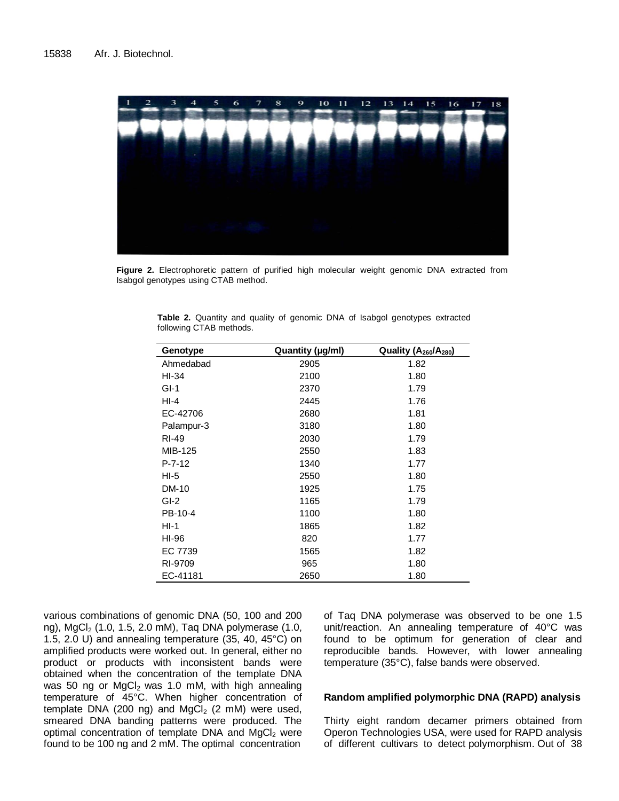

**Figure 2.** Electrophoretic pattern of purified high molecular weight genomic DNA extracted from Isabgol genotypes using CTAB method.

| Genotype     | Quantity (µg/ml) | Quality (A <sub>260</sub> /A <sub>280</sub> ) |
|--------------|------------------|-----------------------------------------------|
| Ahmedabad    | 2905             | 1.82                                          |
| HI-34        | 2100             | 1.80                                          |
| $GI-1$       | 2370             | 1.79                                          |
| $HI-4$       | 2445             | 1.76                                          |
| EC-42706     | 2680             | 1.81                                          |
| Palampur-3   | 3180             | 1.80                                          |
| RI-49        | 2030             | 1.79                                          |
| MIB-125      | 2550             | 1.83                                          |
| $P - 7 - 12$ | 1340             | 1.77                                          |
| $HI-5$       | 2550             | 1.80                                          |
| <b>DM-10</b> | 1925             | 1.75                                          |
| $GI-2$       | 1165             | 1.79                                          |
| PB-10-4      | 1100             | 1.80                                          |
| $HI-1$       | 1865             | 1.82                                          |
| HI-96        | 820              | 1.77                                          |
| EC 7739      | 1565             | 1.82                                          |
| RI-9709      | 965              | 1.80                                          |
| EC-41181     | 2650             | 1.80                                          |

**Table 2.** Quantity and quality of genomic DNA of Isabgol genotypes extracted following CTAB methods.

various combinations of genomic DNA (50, 100 and 200 ng), MgCl<sub>2</sub> (1.0, 1.5, 2.0 mM), Taq DNA polymerase (1.0, 1.5, 2.0 U) and annealing temperature (35, 40, 45°C) on amplified products were worked out. In general, either no product or products with inconsistent bands were obtained when the concentration of the template DNA was 50 ng or  $MgCl<sub>2</sub>$  was 1.0 mM, with high annealing temperature of 45°C. When higher concentration of template DNA (200 ng) and  $MgCl<sub>2</sub>$  (2 mM) were used, smeared DNA banding patterns were produced. The optimal concentration of template DNA and  $MgCl<sub>2</sub>$  were found to be 100 ng and 2 mM. The optimal concentration

of Taq DNA polymerase was observed to be one 1.5 unit/reaction. An annealing temperature of 40°C was found to be optimum for generation of clear and reproducible bands. However, with lower annealing temperature (35°C), false bands were observed.

## **Random amplified polymorphic DNA (RAPD) analysis**

Thirty eight random decamer primers obtained from Operon Technologies USA, were used for RAPD analysis of different cultivars to detect polymorphism. Out of 38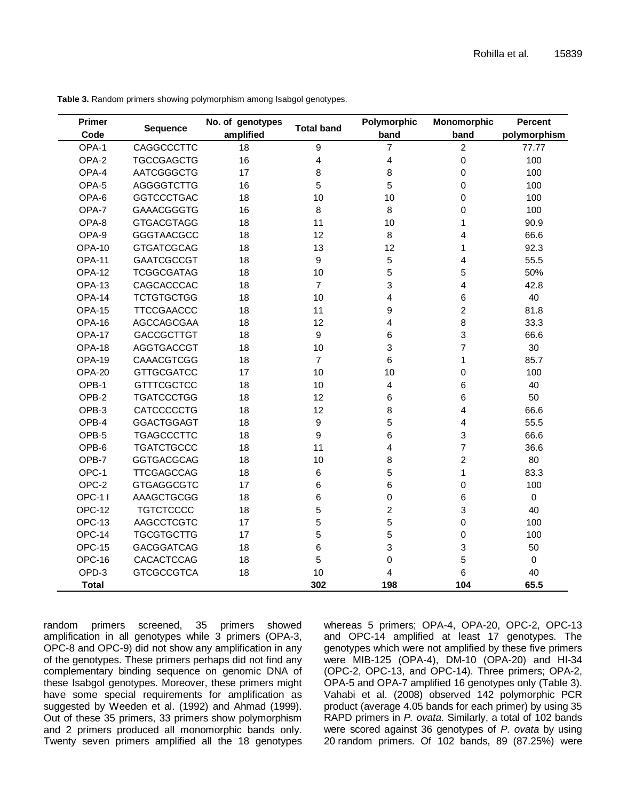| <b>Primer</b> | <b>Sequence</b>   | No. of genotypes | <b>Total band</b> | Polymorphic    | Monomorphic    | <b>Percent</b><br>polymorphism |  |
|---------------|-------------------|------------------|-------------------|----------------|----------------|--------------------------------|--|
| Code          |                   | amplified        |                   | band           | band           |                                |  |
| OPA-1         | CAGGCCCTTC        | 18               | $\boldsymbol{9}$  | 7              | 2              | 77.77                          |  |
| OPA-2         | <b>TGCCGAGCTG</b> | 16               | 4                 | 4              | $\mathsf 0$    | 100                            |  |
| OPA-4         | AATCGGGCTG        | 17               | 8                 | 8              | 0              | 100                            |  |
| OPA-5         | <b>AGGGGTCTTG</b> | 16               | 5                 | 5              | 0              | 100                            |  |
| OPA-6         | <b>GGTCCCTGAC</b> | 18               | 10                | 10             | 0              | 100                            |  |
| OPA-7         | <b>GAAACGGGTG</b> | 16               | 8                 | 8              | 0              | 100                            |  |
| OPA-8         | <b>GTGACGTAGG</b> | 18               | 11                | 10             | 1              | 90.9                           |  |
| OPA-9         | <b>GGGTAACGCC</b> | 18               | 12                | 8              | 4              | 66.6                           |  |
| <b>OPA-10</b> | <b>GTGATCGCAG</b> | 18               | 13                | 12             | $\mathbf{1}$   | 92.3                           |  |
| <b>OPA-11</b> | <b>GAATCGCCGT</b> | 18               | $9\,$             | 5              | $\overline{4}$ | 55.5                           |  |
| <b>OPA-12</b> | <b>TCGGCGATAG</b> | 18               | 10                | 5              | 5              | 50%                            |  |
| OPA-13        | CAGCACCCAC        | 18               | $\overline{7}$    | 3              | 4              | 42.8                           |  |
| OPA-14        | <b>TCTGTGCTGG</b> | 18               | 10                | 4              | 6              | 40                             |  |
| <b>OPA-15</b> | <b>TTCCGAACCC</b> | 18               | 11                | 9              | $\overline{2}$ | 81.8                           |  |
| OPA-16        | AGCCAGCGAA        | 18               | 12                | 4              | 8              | 33.3                           |  |
| <b>OPA-17</b> | <b>GACCGCTTGT</b> | 18               | $\boldsymbol{9}$  | 6              | 3              | 66.6                           |  |
| OPA-18        | <b>AGGTGACCGT</b> | 18               | 10                | 3              | $\overline{7}$ | 30                             |  |
| OPA-19        | <b>CAAACGTCGG</b> | 18               | $\overline{7}$    | 6              | 1              | 85.7                           |  |
| OPA-20        | <b>GTTGCGATCC</b> | 17               | 10                | 10             | 0              | 100                            |  |
| OPB-1         | <b>GTTTCGCTCC</b> | 18               | 10                | 4              | 6              | 40                             |  |
| OPB-2         | <b>TGATCCCTGG</b> | 18               | 12                | 6              | 6              | 50                             |  |
| OPB-3         | CATCCCCCTG        | 18               | 12                | 8              | $\overline{4}$ | 66.6                           |  |
| OPB-4         | <b>GGACTGGAGT</b> | 18               | $\boldsymbol{9}$  | 5              | $\overline{4}$ | 55.5                           |  |
| OPB-5         | <b>TGAGCCCTTC</b> | 18               | $\boldsymbol{9}$  | 6              | $\mathbf{3}$   | 66.6                           |  |
| OPB-6         | <b>TGATCTGCCC</b> | 18               | 11                | 4              | $\overline{7}$ | 36.6                           |  |
| OPB-7         | <b>GGTGACGCAG</b> | 18               | 10                | 8              | $\overline{c}$ | 80                             |  |
| OPC-1         | <b>TTCGAGCCAG</b> | 18               | $\,6\,$           | 5              | 1              | 83.3                           |  |
| OPC-2         | <b>GTGAGGCGTC</b> | 17               | 6                 | 6              | 0              | 100                            |  |
| <b>OPC-11</b> | AAAGCTGCGG        | 18               | 6                 | 0              | 6              | $\mathbf 0$                    |  |
| <b>OPC-12</b> | <b>TGTCTCCCC</b>  | 18               | 5                 | $\overline{c}$ | 3              | 40                             |  |
| OPC-13        | AAGCCTCGTC        | 17               | 5                 | 5              | 0              | 100                            |  |
| OPC-14        | <b>TGCGTGCTTG</b> | 17               | 5                 | 5              | $\mathbf 0$    | 100                            |  |
| <b>OPC-15</b> | <b>GACGGATCAG</b> | 18               | 6                 | 3              | $\mathsf 3$    | 50                             |  |
| OPC-16        | CACACTCCAG        | 18               | $\sqrt{5}$        | 0              | 5              | $\mathbf 0$                    |  |
| OPD-3         | <b>GTCGCCGTCA</b> | 18               | 10                | 4              | 6              | 40                             |  |
| <b>Total</b>  |                   |                  | 302               | 198            | 104            | 65.5                           |  |

**Table 3.** Random primers showing polymorphism among Isabgol genotypes.

random primers screened, 35 primers showed amplification in all genotypes while 3 primers (OPA-3, OPC-8 and OPC-9) did not show any amplification in any of the genotypes. These primers perhaps did not find any complementary binding sequence on genomic DNA of these Isabgol genotypes. Moreover, these primers might have some special requirements for amplification as suggested by Weeden et al. (1992) and Ahmad (1999). Out of these 35 primers, 33 primers show polymorphism and 2 primers produced all monomorphic bands only. Twenty seven primers amplified all the 18 genotypes whereas 5 primers; OPA-4, OPA-20, OPC-2, OPC-13 and OPC-14 amplified at least 17 genotypes. The genotypes which were not amplified by these five primers were MIB-125 (OPA-4), DM-10 (OPA-20) and HI-34 (OPC-2, OPC-13, and OPC-14). Three primers; OPA-2, OPA-5 and OPA-7 amplified 16 genotypes only (Table 3). Vahabi et al. (2008) observed 142 polymorphic PCR product (average 4.05 bands for each primer) by using 35 RAPD primers in *P. ovata*. Similarly, a total of 102 bands were scored against 36 genotypes of *P. ovata* by using 20 random primers. Of 102 bands, 89 (87.25%) were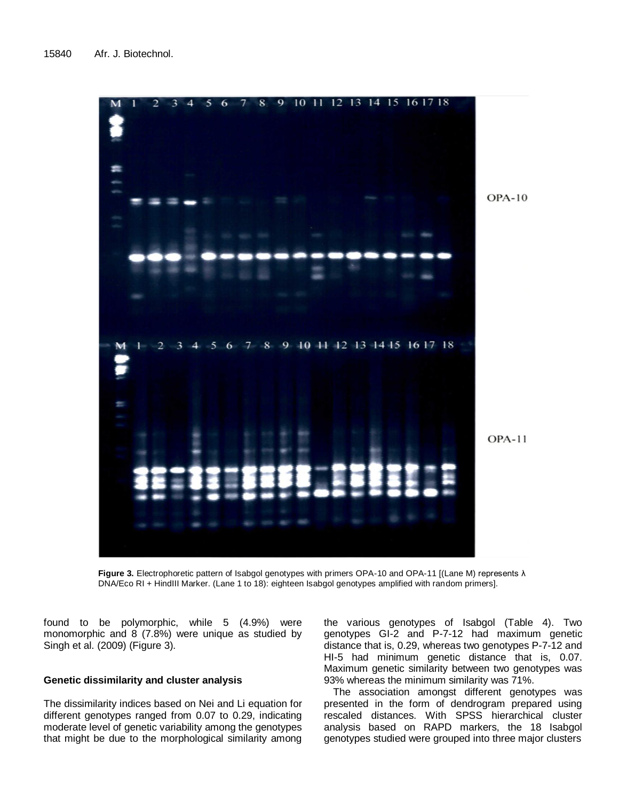

**Figure 3.** Electrophoretic pattern of Isabgol genotypes with primers OPA-10 and OPA-11 [(Lane M) represents λ DNA/Eco RI + HindIII Marker. (Lane 1 to 18): eighteen Isabgol genotypes amplified with random primers].

found to be polymorphic, while 5 (4.9%) were monomorphic and 8 (7.8%) were unique as studied by Singh et al. (2009) (Figure 3).

# **Genetic dissimilarity and cluster analysis**

The dissimilarity indices based on Nei and Li equation for different genotypes ranged from 0.07 to 0.29, indicating moderate level of genetic variability among the genotypes that might be due to the morphological similarity among

the various genotypes of Isabgol (Table 4). Two genotypes GI-2 and P-7-12 had maximum genetic distance that is, 0.29, whereas two genotypes P-7-12 and HI-5 had minimum genetic distance that is, 0.07. Maximum genetic similarity between two genotypes was 93% whereas the minimum similarity was 71%.

The association amongst different genotypes was presented in the form of dendrogram prepared using rescaled distances. With SPSS hierarchical cluster analysis based on RAPD markers, the 18 Isabgol genotypes studied were grouped into three major clusters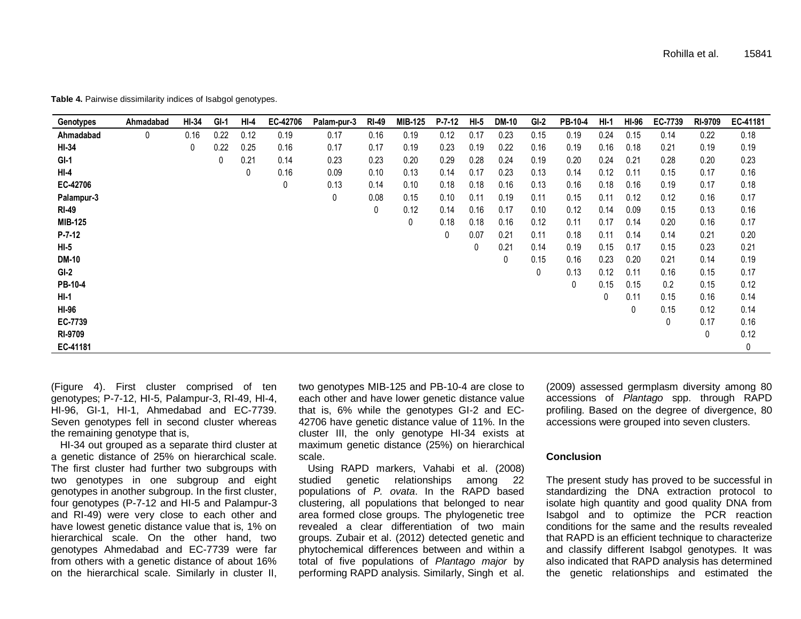| Genotypes    | Ahmadabad | HI-34 | $GI-1$ | HI-4 | EC-42706 | Palam-pur-3 | <b>RI-49</b> | MIB-125 | $P - 7 - 12$ | $HI-5$ | <b>DM-10</b> | $GI-2$ | PB-10-4 | $HI-1$ | HI-96 | EC-7739     | RI-9709 | EC-41181 |
|--------------|-----------|-------|--------|------|----------|-------------|--------------|---------|--------------|--------|--------------|--------|---------|--------|-------|-------------|---------|----------|
| Ahmadabad    | 0         | 0.16  | 0.22   | 0.12 | 0.19     | 0.17        | 0.16         | 0.19    | 0.12         | 0.17   | 0.23         | 0.15   | 0.19    | 0.24   | 0.15  | 0.14        | 0.22    | 0.18     |
| HI-34        |           | 0     | 0.22   | 0.25 | 0.16     | 0.17        | 0.17         | 0.19    | 0.23         | 0.19   | 0.22         | 0.16   | 0.19    | 0.16   | 0.18  | 0.21        | 0.19    | 0.19     |
| $GI-1$       |           |       | 0      | 0.21 | 0.14     | 0.23        | 0.23         | 0.20    | 0.29         | 0.28   | 0.24         | 0.19   | 0.20    | 0.24   | 0.21  | 0.28        | 0.20    | 0.23     |
| $HI-4$       |           |       |        | 0    | 0.16     | 0.09        | 0.10         | 0.13    | 0.14         | 0.17   | 0.23         | 0.13   | 0.14    | 0.12   | 0.11  | 0.15        | 0.17    | 0.16     |
| EC-42706     |           |       |        |      | 0        | 0.13        | 0.14         | 0.10    | 0.18         | 0.18   | 0.16         | 0.13   | 0.16    | 0.18   | 0.16  | 0.19        | 0.17    | 0.18     |
| Palampur-3   |           |       |        |      |          | 0           | 0.08         | 0.15    | 0.10         | 0.11   | 0.19         | 0.11   | 0.15    | 0.11   | 0.12  | 0.12        | 0.16    | 0.17     |
| <b>RI-49</b> |           |       |        |      |          |             | 0            | 0.12    | 0.14         | 0.16   | 0.17         | 0.10   | 0.12    | 0.14   | 0.09  | 0.15        | 0.13    | 0.16     |
| MIB-125      |           |       |        |      |          |             |              | 0       | 0.18         | 0.18   | 0.16         | 0.12   | 0.11    | 0.17   | 0.14  | 0.20        | 0.16    | 0.17     |
| $P - 7 - 12$ |           |       |        |      |          |             |              |         | 0            | 0.07   | 0.21         | 0.11   | 0.18    | 0.11   | 0.14  | 0.14        | 0.21    | 0.20     |
| $HI-5$       |           |       |        |      |          |             |              |         |              | 0      | 0.21         | 0.14   | 0.19    | 0.15   | 0.17  | 0.15        | 0.23    | 0.21     |
| <b>DM-10</b> |           |       |        |      |          |             |              |         |              |        | 0            | 0.15   | 0.16    | 0.23   | 0.20  | 0.21        | 0.14    | 0.19     |
| GI-2         |           |       |        |      |          |             |              |         |              |        |              | 0      | 0.13    | 0.12   | 0.11  | 0.16        | 0.15    | 0.17     |
| PB-10-4      |           |       |        |      |          |             |              |         |              |        |              |        | 0       | 0.15   | 0.15  | 0.2         | 0.15    | 0.12     |
| HI-1         |           |       |        |      |          |             |              |         |              |        |              |        |         | 0      | 0.11  | 0.15        | 0.16    | 0.14     |
| <b>HI-96</b> |           |       |        |      |          |             |              |         |              |        |              |        |         |        | 0     | 0.15        | 0.12    | 0.14     |
| EC-7739      |           |       |        |      |          |             |              |         |              |        |              |        |         |        |       | $\mathbf 0$ | 0.17    | 0.16     |
| RI-9709      |           |       |        |      |          |             |              |         |              |        |              |        |         |        |       |             | 0       | 0.12     |
| EC-41181     |           |       |        |      |          |             |              |         |              |        |              |        |         |        |       |             |         | 0        |

**Table 4.** Pairwise dissimilarity indices of Isabgol genotypes.

(Figure 4). First cluster comprised of ten genotypes; P-7-12, HI-5, Palampur-3, RI-49, HI-4, HI-96, GI-1, HI-1, Ahmedabad and EC-7739. Seven genotypes fell in second cluster whereas the remaining genotype that is,

HI-34 out grouped as a separate third cluster at a genetic distance of 25% on hierarchical scale. The first cluster had further two subgroups with two genotypes in one subgroup and eight genotypes in another subgroup. In the first cluster, four genotypes (P-7-12 and HI-5 and Palampur-3 and RI-49) were very close to each other and have lowest genetic distance value that is, 1% on hierarchical scale. On the other hand, two genotypes Ahmedabad and EC-7739 were far from others with a genetic distance of about 16% on the hierarchical scale. Similarly in cluster II,

two genotypes MIB-125 and PB-10-4 are close to each other and have lower genetic distance value that is, 6% while the genotypes GI-2 and EC-42706 have genetic distance value of 11%. In the cluster III, the only genotype HI-34 exists at maximum genetic distance (25%) on hierarchical scale.

Using RAPD markers, Vahabi et al. (2008) studied genetic relationships among 22 populations of *P. ovata*. In the RAPD based clustering, all populations that belonged to near area formed close groups. The phylogenetic tree revealed a clear differentiation of two main groups. Zubair et al. (2012) detected genetic and phytochemical differences between and within a total of five populations of *Plantago major* by performing RAPD analysis. Similarly, Singh et al.

(2009) assessed germplasm diversity among 80 accessions of *Plantago* spp. through RAPD profiling. Based on the degree of divergence, 80 accessions were grouped into seven clusters.

## **Conclusion**

The present study has proved to be successful in standardizing the DNA extraction protocol to isolate high quantity and good quality DNA from Isabgol and to optimize the PCR reaction conditions for the same and the results revealed that RAPD is an efficient technique to characterize and classify different Isabgol genotypes. It was also indicated that RAPD analysis has determined the genetic relationships and estimated the